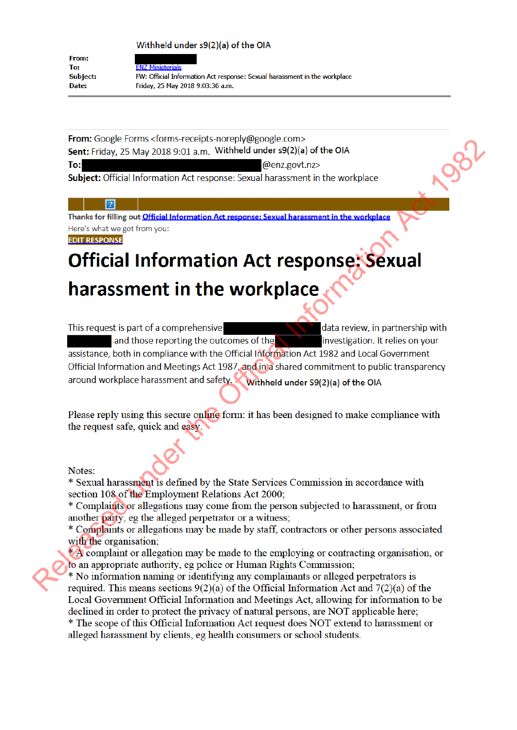Withheld under s9(2)(a) of the OIA

From: To-**Subject:** Date:

**FN7 Ministerials** FW: Official Information Act response: Sexual harassment in the workplace Friday, 25 May 2018 9:03:36 a.m.

From: Google Forms <forms-receipts-noreply@google.com> Sent: Friday, 25 May 2018 9:01 a.m. Withheld under s9(2)(a) of the OIA To: @enz.govt.nz>

Subject: Official Information Act response: Sexual harassment in the workplace

# $\lceil 2 \rceil$

Thanks for filling out Official Information Act response: Sexual harassment in the workplace Here's what we got from you:

**EDIT RESPONSE** 

# **Official Information Act response: Sexual** harassment in the workplace

This request is part of a comprehensive data review, in partnership with and those reporting the outcomes of the investigation. It relies on your assistance, both in compliance with the Official Information Act 1982 and Local Government Official Information and Meetings Act 1987, and in a shared commitment to public transparency around workplace harassment and safety. Withheld under S9(2)(a) of the OIA

Please reply using this secure online form: it has been designed to make compliance with the request safe, quick and easy.

# Notes:

\* Sexual harassment is defined by the State Services Commission in accordance with section 108 of the Employment Relations Act 2000:

\* Complaints or allegations may come from the person subjected to harassment, or from another party, eg the alleged perpetrator or a witness;

\* Complaints or allegations may be made by staff, contractors or other persons associated with the organisation:

A complaint or allegation may be made to the employing or contracting organisation, or to an appropriate authority, eg police or Human Rights Commission;

\* No information naming or identifying any complainants or alleged perpetrators is required. This means sections  $9(2)(a)$  of the Official Information Act and  $7(2)(a)$  of the Local Government Official Information and Meetings Act, allowing for information to be declined in order to protect the privacy of natural persons, are NOT applicable here; \* The scope of this Official Information Act request does NOT extend to harassment or

alleged harassment by clients, eg health consumers or school students.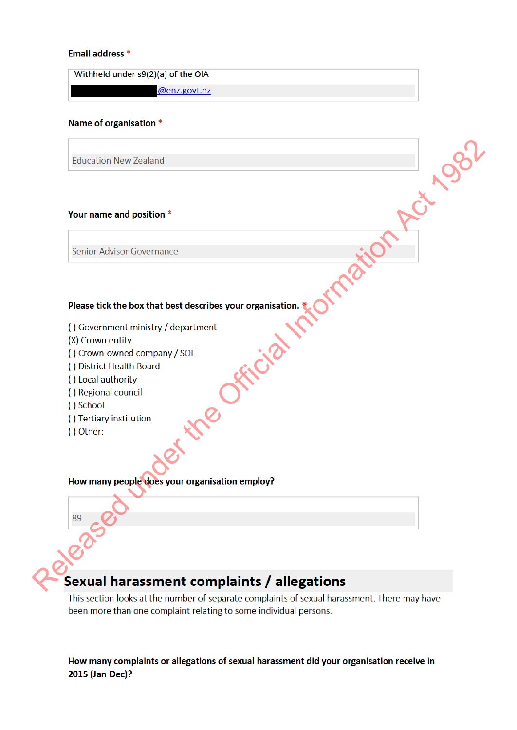## Email address \*

Withheld under s9(2)(a) of the OIA

@enz.govt.nz

### Name of organisation \*

**Education New Zealand** 

### Your name and position \*

# Please tick the box that best describes your organisation.<br>
() Government ministry / department<br>
(X) Crown - owned company / SOE<br>
() District Health Board<br>
) Iosia authority<br>
Negional council<br>
Regional council<br>
(School<br>
He

- 
- 
- 
- 
- 
- 
- 
- 
- () Other:

## How many people does your organisation employ?

# Sexual harassment complaints / allegations

This section looks at the number of separate complaints of sexual harassment. There may have been more than one complaint relating to some individual persons.

Rct 1982

How many complaints or allegations of sexual harassment did your organisation receive in 2015 (Jan-Dec)?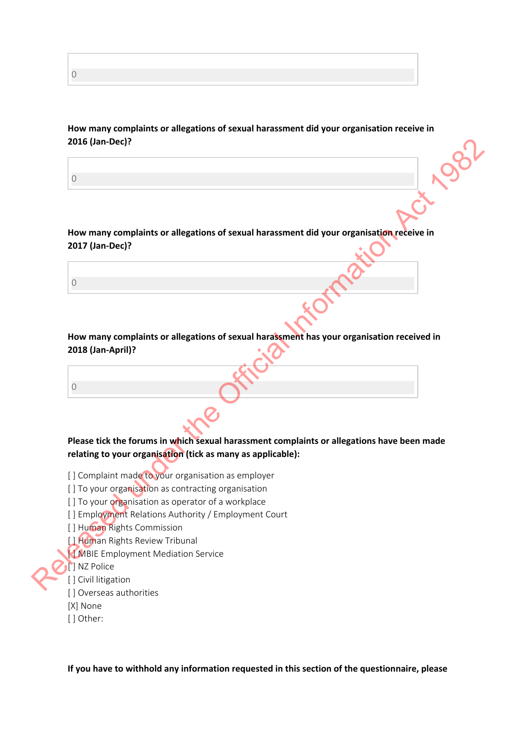**How many complaints or allegations of sexual harassment did your organisation receive in 2016 (Jan-Dec)?**

**How many complaints or allegations of sexual harassment did your organisation receive in 2017 (Jan-Dec)?**

**How many complaints or allegations of sexual harassment has your organisation received in 2018 (Jan-April)?**

**Please tick the forums in which sexual harassment complaints or allegations have been made relating to your organisation (tick as many as applicable):** 2016 (Jan-Dec)?<br>
(a)<br>
Now many complaints or allegations of sexual harassment did your organisation received in<br>
2017 (Jan-Dec)?<br>
(a)<br>
(b)<br>
Release tick the forums in which sexual harassment complaints or allegation recei

- [] Complaint made to your organisation as employer
- [] To your organisation as contracting organisation
- [] To your organisation as operator of a workplace
- [] Employment Relations Authority / Employment Court
- [ ] Human Rights Commission
- [ ] Human Rights Review Tribunal
- **[ ] MBIE Employment Mediation Service**
- **[** ] NZ Police
- [ ] Civil litigation
- [ ] Overseas authorities
- [X] None
- [] Other:

**If you have to withhold any information requested in this section of the questionnaire, please**

0

0

0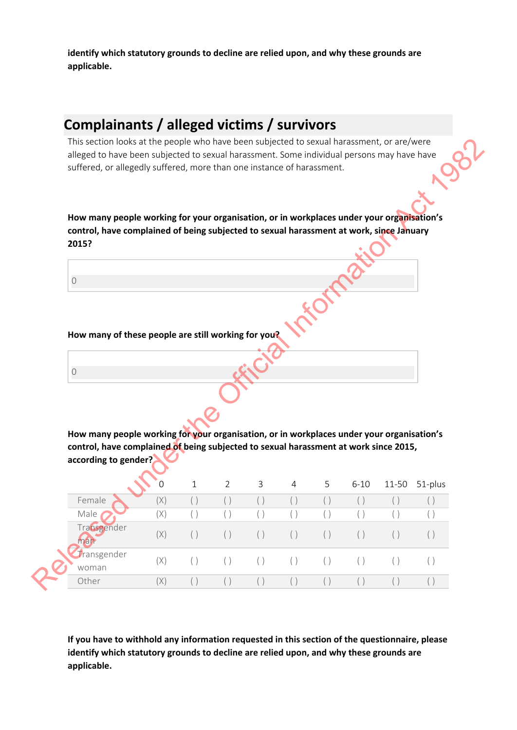**identify which statutory grounds to decline are relied upon, and why these grounds are applicable.**

# **Complainants / alleged victims / survivors**

| suffered, or allegedly suffered, more than one instance of harassment.                    |     |              |                |     |                |     |          |       |         |
|-------------------------------------------------------------------------------------------|-----|--------------|----------------|-----|----------------|-----|----------|-------|---------|
|                                                                                           |     |              |                |     |                |     |          |       |         |
|                                                                                           |     |              |                |     |                |     |          |       |         |
|                                                                                           |     |              |                |     |                |     |          |       |         |
| How many people working for your organisation, or in workplaces under your organisation's |     |              |                |     |                |     |          |       |         |
| control, have complained of being subjected to sexual harassment at work, since January   |     |              |                |     |                |     |          |       |         |
| 2015?                                                                                     |     |              |                |     |                |     |          |       |         |
|                                                                                           |     |              |                |     |                |     |          |       |         |
| $\bigcirc$                                                                                |     |              |                |     |                |     |          |       |         |
|                                                                                           |     |              |                |     |                |     |          |       |         |
|                                                                                           |     |              |                |     |                |     |          |       |         |
|                                                                                           |     |              |                |     |                |     |          |       |         |
| How many of these people are still working for you?                                       |     |              |                |     |                |     |          |       |         |
|                                                                                           |     |              |                |     |                |     |          |       |         |
|                                                                                           |     |              |                |     |                |     |          |       |         |
|                                                                                           |     |              |                |     |                |     |          |       |         |
| $\bigcirc$                                                                                |     |              |                |     |                |     |          |       |         |
|                                                                                           |     |              |                |     |                |     |          |       |         |
|                                                                                           |     |              |                |     |                |     |          |       |         |
|                                                                                           |     |              |                |     |                |     |          |       |         |
|                                                                                           |     |              |                |     |                |     |          |       |         |
| How many people working for your organisation, or in workplaces under your organisation's |     |              |                |     |                |     |          |       |         |
| control, have complained of being subjected to sexual harassment at work since 2015,      |     |              |                |     |                |     |          |       |         |
| according to gender?                                                                      |     |              |                |     |                |     |          |       |         |
|                                                                                           |     |              |                |     |                |     |          |       |         |
|                                                                                           | O   | $\mathbf{1}$ | $\overline{2}$ | 3   | $\overline{4}$ | 5   | $6 - 10$ | 11-50 | 51-plus |
| Female                                                                                    | (X) | $(\ )$       | $(\ )$         | ( ) | ( )            | ( ) | $(\ )$   | ( )   |         |
| Male                                                                                      | (X) | ( )          | ( )            | ( ) | ( )            | ( ) | ( )      | ( )   |         |
| Transgender                                                                               |     |              |                |     |                |     |          |       |         |
| man                                                                                       | (X) | ( )          | ( )            | ( ) | ( )            | ( ) | ( )      | ( )   | ( )     |
| Transgender                                                                               | (X) | ( )          | ( )            | ( ) | ( )            | ( ) | ( )      | ( )   | ( )     |

**If you have to withhold any information requested in this section of the questionnaire, please identify which statutory grounds to decline are relied upon, and why these grounds are applicable.**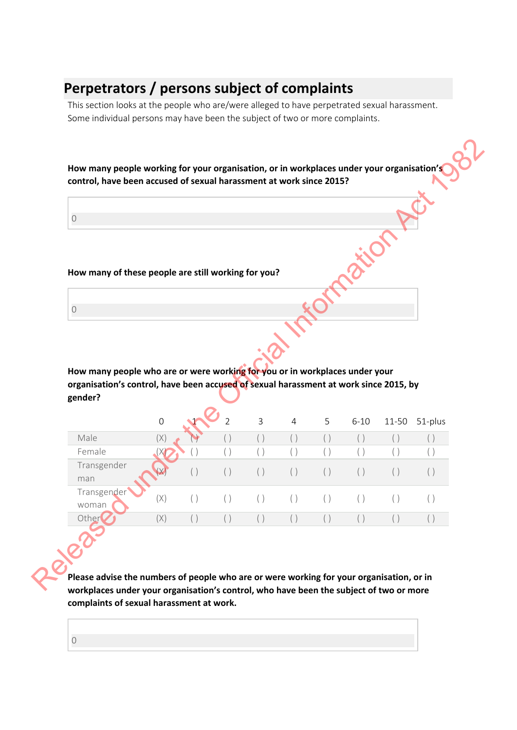# **Perpetrators / persons subject of complaints**

This section looks at the people who are/were alleged to have perpetrated sexual harassment. Some individual persons may have been the subject of two or more complaints.

0

| $\bigcirc$                                                                                       |             |            |                |            |                |            |               |               |                |
|--------------------------------------------------------------------------------------------------|-------------|------------|----------------|------------|----------------|------------|---------------|---------------|----------------|
|                                                                                                  |             |            |                |            |                |            |               |               |                |
|                                                                                                  |             |            |                |            |                |            |               |               |                |
| How many of these people are still working for you?                                              |             |            |                |            |                |            |               |               |                |
|                                                                                                  |             |            |                |            |                |            |               |               |                |
| $\bigcirc$                                                                                       |             |            |                |            |                |            |               |               |                |
|                                                                                                  |             |            |                |            |                |            |               |               |                |
|                                                                                                  |             |            |                |            |                |            |               |               |                |
|                                                                                                  |             |            |                |            |                |            |               |               |                |
|                                                                                                  |             |            |                |            |                |            |               |               |                |
|                                                                                                  |             |            |                |            |                |            |               |               |                |
| How many people who are or were working for you or in workplaces under your                      |             |            |                |            |                |            |               |               |                |
| organisation's control, have been accused of sexual harassment at work since 2015, by<br>gender? |             |            |                |            |                |            |               |               |                |
|                                                                                                  |             |            |                |            |                |            |               |               |                |
|                                                                                                  | $\mathbf 0$ |            | $\overline{2}$ | 3          | $\overline{4}$ | 5          | $6 - 10$      | 11-50         |                |
| Male                                                                                             | (X)         |            | ( )            | ( )        | ( )            | ( )        | ( )           | ( )           | 51-plus<br>( ) |
| Female                                                                                           |             |            | ( )            | ( )        | ( )            | ( )        | ( )           | ( )           | ( )            |
| Transgender                                                                                      |             |            |                |            |                |            |               |               |                |
| man                                                                                              |             | ( )        | ( )            | ( )        | ( )            | ( )        | ( )           | ( )           | ( )            |
| Transgender                                                                                      |             |            |                |            |                |            |               |               |                |
| woman<br>Other                                                                                   | (X)<br>(X)  | ( )<br>( ) | $(\ )$<br>( )  | ( )<br>( ) | ( )<br>( )     | ( )<br>( ) | $(\ )$<br>( ) | $(\ )$<br>( ) | ( )<br>( )     |

**Please advise the numbers of people who are or were working for your organisation, or in workplaces under your organisation's control, who have been the subject of two or more complaints of sexual harassment at work.**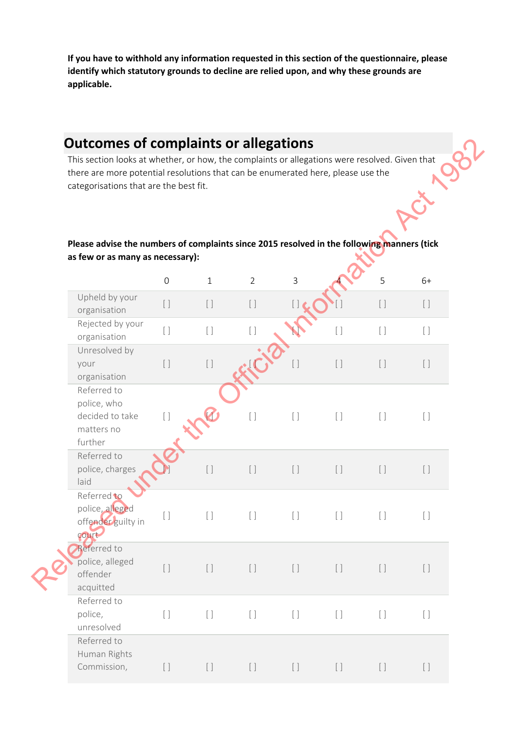**If you have to withhold any information requested in this section of the questionnaire, please identify which statutory grounds to decline are relied upon, and why these grounds are applicable.**

# **Outcomes of complaints or allegations**

# **Please advise the numbers of complaints since 2015 resolved in the following manners (tick as few or as many as necessary):**

| <b>Outcomes of complaints or allegations</b><br>This section looks at whether, or how, the complaints or allegations were resolved. Given that<br>there are more potential resolutions that can be enumerated here, please use the<br>categorisations that are the best fit.<br>Please advise the numbers of complaints since 2015 resolved in the following manners (tick |                     |                                 |                |                                 |                                   |         |         |
|----------------------------------------------------------------------------------------------------------------------------------------------------------------------------------------------------------------------------------------------------------------------------------------------------------------------------------------------------------------------------|---------------------|---------------------------------|----------------|---------------------------------|-----------------------------------|---------|---------|
| as few or as many as necessary):                                                                                                                                                                                                                                                                                                                                           | $\mathsf{O}\xspace$ | $\mathbf{1}$                    | $\overline{2}$ | $\mathsf{3}$                    |                                   | 5       | $6+$    |
| Upheld by your<br>organisation                                                                                                                                                                                                                                                                                                                                             | $[ \ ]$             | $[ \ ]$                         | $[\ ]$         |                                 |                                   | $[ \ ]$ | $[ \ ]$ |
| Rejected by your<br>organisation                                                                                                                                                                                                                                                                                                                                           | $[ \ ]$             | $\begin{bmatrix} \end{bmatrix}$ | $[ \ ]$        |                                 | $[ \ ]$                           | $[ \ ]$ | $[ \ ]$ |
| Unresolved by<br>your<br>organisation                                                                                                                                                                                                                                                                                                                                      | $[ \ ]$             | $[ \ ]$                         |                | $[ \ ]$                         | $[ \ ]$                           | $[ \ ]$ | $[ \ ]$ |
| Referred to<br>police, who<br>decided to take<br>matters no<br>further                                                                                                                                                                                                                                                                                                     | $[ \ ]$             |                                 | $[ \ ]$        | $[ \ ]$                         | $[ \ ]$                           | $[ \ ]$ | $[ \ ]$ |
| Referred to<br>police, charges<br>laid                                                                                                                                                                                                                                                                                                                                     |                     | $[ \ ]$                         | $[ \ ]$        | $[ \ ]$                         | $[ \ ]$                           | $[ \ ]$ | $[ \ ]$ |
| Referred to<br>police, alleged<br>offender guilty in<br>court                                                                                                                                                                                                                                                                                                              | $[\ ]$              | $[ \ ]$                         | $[ \ ]$        | $[ \ ]$                         | $[ \ ]$                           | $[ \ ]$ | $[ \ ]$ |
| Referred to<br>police, alleged<br>offender<br>acquitted                                                                                                                                                                                                                                                                                                                    | $[ \ ]$             | $[ \ ]$                         | $[ \ ]$        | $[ \ ]$                         | $[ \ ]$                           | $[ \ ]$ | $[ \ ]$ |
| Referred to<br>police,<br>unresolved                                                                                                                                                                                                                                                                                                                                       | $[ \ ]$             | $[ \ ]$                         | $[ \ ]$        | $\begin{bmatrix} \end{bmatrix}$ | $[ \ ]$                           | $[ \ ]$ | $[ \ ]$ |
| Referred to<br>Human Rights<br>Commission,                                                                                                                                                                                                                                                                                                                                 | $[ \ ]$             | $[ \ ]$                         | $[ \ ]$        | $[ \ ]$                         | $\begin{bmatrix} \ \end{bmatrix}$ | $[ \ ]$ | $[ \ ]$ |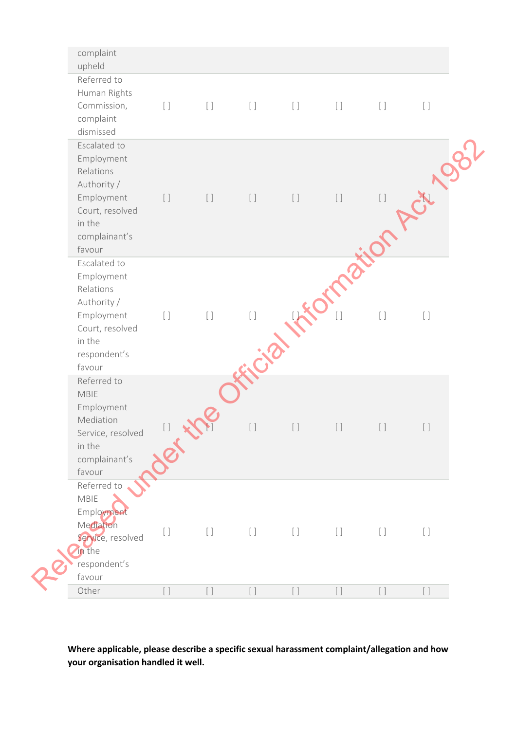| upheld                        | complaint                                                                                   |               |                      |         |                                 |                                 |         |         |
|-------------------------------|---------------------------------------------------------------------------------------------|---------------|----------------------|---------|---------------------------------|---------------------------------|---------|---------|
| dismissed                     | Referred to<br>Human Rights<br>Commission,<br>complaint                                     | $[ \ ]$       | $[ \ ]$              | $[ \ ]$ | $[ \ ]$                         | $[ \ ]$                         | $[ \ ]$ | $[ \ ]$ |
| Relations<br>in the<br>favour | Escalated to<br>Employment<br>Authority /<br>Employment<br>Court, resolved<br>complainant's | $[ \ ]$       | $[ \ ]$              | $[ \ ]$ | $[ \ ]$                         | $[ \ ]$                         | $[ \ ]$ |         |
| Relations<br>in the<br>favour | Escalated to<br>Employment<br>Authority /<br>Employment<br>Court, resolved<br>respondent's  | $[ \ ]$       | $[ \ ]$              | $[ \ ]$ |                                 | $\begin{bmatrix} \end{bmatrix}$ | $[ \ ]$ | $[ \ ]$ |
| MBIE<br>in the<br>favour      | Referred to<br>Employment<br>Mediation<br>Service, resolved<br>complainant's                | $[\ ]$<br>Jer | $\blacktriangledown$ | $[\ ]$  | $[ \ ]$                         | $[ \ ]$                         | $[ \ ]$ | $[ \ ]$ |
| MBIE<br>in the<br>favour      | Referred to<br>Employment<br>Mediation<br>Service, resolved<br>respondent's                 | $[ \ ]$       | $[ \ ]$              | $[ \ ]$ | $\begin{bmatrix} \end{bmatrix}$ | $[ \ ]$                         | $[ \ ]$ | $[ \ ]$ |
| Other                         |                                                                                             |               |                      | [ ]     | $\lceil$                        | $\lceil$ $\rceil$               |         |         |

**Where applicable, please describe a specific sexual harassment complaint/allegation and how your organisation handled it well.**